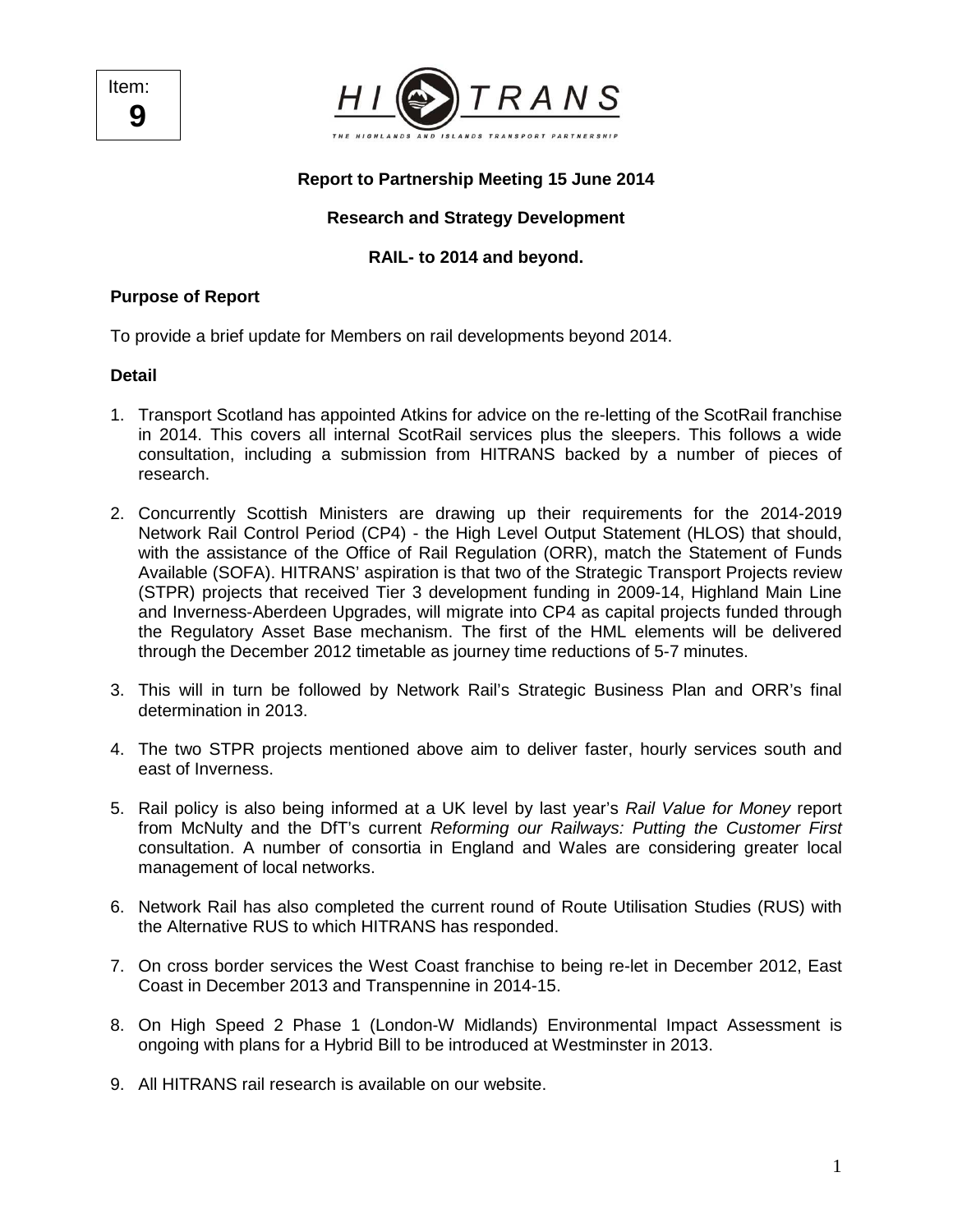Item: **9** 



# **Report to Partnership Meeting 15 June 2014**

# **Research and Strategy Development**

# **RAIL- to 2014 and beyond.**

### **Purpose of Report**

To provide a brief update for Members on rail developments beyond 2014.

#### **Detail**

- 1. Transport Scotland has appointed Atkins for advice on the re-letting of the ScotRail franchise in 2014. This covers all internal ScotRail services plus the sleepers. This follows a wide consultation, including a submission from HITRANS backed by a number of pieces of research.
- 2. Concurrently Scottish Ministers are drawing up their requirements for the 2014-2019 Network Rail Control Period (CP4) - the High Level Output Statement (HLOS) that should, with the assistance of the Office of Rail Regulation (ORR), match the Statement of Funds Available (SOFA). HITRANS' aspiration is that two of the Strategic Transport Projects review (STPR) projects that received Tier 3 development funding in 2009-14, Highland Main Line and Inverness-Aberdeen Upgrades, will migrate into CP4 as capital projects funded through the Regulatory Asset Base mechanism. The first of the HML elements will be delivered through the December 2012 timetable as journey time reductions of 5-7 minutes.
- 3. This will in turn be followed by Network Rail's Strategic Business Plan and ORR's final determination in 2013.
- 4. The two STPR projects mentioned above aim to deliver faster, hourly services south and east of Inverness.
- 5. Rail policy is also being informed at a UK level by last year's Rail Value for Money report from McNulty and the DfT's current Reforming our Railways: Putting the Customer First consultation. A number of consortia in England and Wales are considering greater local management of local networks.
- 6. Network Rail has also completed the current round of Route Utilisation Studies (RUS) with the Alternative RUS to which HITRANS has responded.
- 7. On cross border services the West Coast franchise to being re-let in December 2012, East Coast in December 2013 and Transpennine in 2014-15.
- 8. On High Speed 2 Phase 1 (London-W Midlands) Environmental Impact Assessment is ongoing with plans for a Hybrid Bill to be introduced at Westminster in 2013.
- 9. All HITRANS rail research is available on our website.